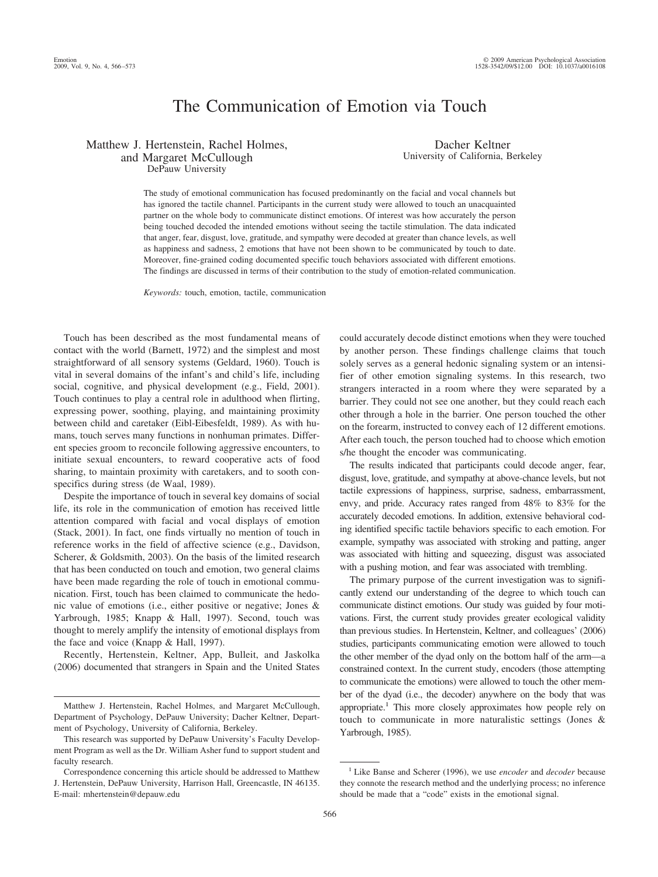# The Communication of Emotion via Touch

Matthew J. Hertenstein, Rachel Holmes, and Margaret McCullough DePauw University

Dacher Keltner University of California, Berkeley

The study of emotional communication has focused predominantly on the facial and vocal channels but has ignored the tactile channel. Participants in the current study were allowed to touch an unacquainted partner on the whole body to communicate distinct emotions. Of interest was how accurately the person being touched decoded the intended emotions without seeing the tactile stimulation. The data indicated that anger, fear, disgust, love, gratitude, and sympathy were decoded at greater than chance levels, as well as happiness and sadness, 2 emotions that have not been shown to be communicated by touch to date. Moreover, fine-grained coding documented specific touch behaviors associated with different emotions. The findings are discussed in terms of their contribution to the study of emotion-related communication.

*Keywords:* touch, emotion, tactile, communication

Touch has been described as the most fundamental means of contact with the world (Barnett, 1972) and the simplest and most straightforward of all sensory systems (Geldard, 1960). Touch is vital in several domains of the infant's and child's life, including social, cognitive, and physical development (e.g., Field, 2001). Touch continues to play a central role in adulthood when flirting, expressing power, soothing, playing, and maintaining proximity between child and caretaker (Eibl-Eibesfeldt, 1989). As with humans, touch serves many functions in nonhuman primates. Different species groom to reconcile following aggressive encounters, to initiate sexual encounters, to reward cooperative acts of food sharing, to maintain proximity with caretakers, and to sooth conspecifics during stress (de Waal, 1989).

Despite the importance of touch in several key domains of social life, its role in the communication of emotion has received little attention compared with facial and vocal displays of emotion (Stack, 2001). In fact, one finds virtually no mention of touch in reference works in the field of affective science (e.g., Davidson, Scherer, & Goldsmith, 2003). On the basis of the limited research that has been conducted on touch and emotion, two general claims have been made regarding the role of touch in emotional communication. First, touch has been claimed to communicate the hedonic value of emotions (i.e., either positive or negative; Jones & Yarbrough, 1985; Knapp & Hall, 1997). Second, touch was thought to merely amplify the intensity of emotional displays from the face and voice (Knapp & Hall, 1997).

Recently, Hertenstein, Keltner, App, Bulleit, and Jaskolka (2006) documented that strangers in Spain and the United States could accurately decode distinct emotions when they were touched by another person. These findings challenge claims that touch solely serves as a general hedonic signaling system or an intensifier of other emotion signaling systems. In this research, two strangers interacted in a room where they were separated by a barrier. They could not see one another, but they could reach each other through a hole in the barrier. One person touched the other on the forearm, instructed to convey each of 12 different emotions. After each touch, the person touched had to choose which emotion s/he thought the encoder was communicating.

The results indicated that participants could decode anger, fear, disgust, love, gratitude, and sympathy at above-chance levels, but not tactile expressions of happiness, surprise, sadness, embarrassment, envy, and pride. Accuracy rates ranged from 48% to 83% for the accurately decoded emotions. In addition, extensive behavioral coding identified specific tactile behaviors specific to each emotion. For example, sympathy was associated with stroking and patting, anger was associated with hitting and squeezing, disgust was associated with a pushing motion, and fear was associated with trembling.

The primary purpose of the current investigation was to significantly extend our understanding of the degree to which touch can communicate distinct emotions. Our study was guided by four motivations. First, the current study provides greater ecological validity than previous studies. In Hertenstein, Keltner, and colleagues' (2006) studies, participants communicating emotion were allowed to touch the other member of the dyad only on the bottom half of the arm—a constrained context. In the current study, encoders (those attempting to communicate the emotions) were allowed to touch the other member of the dyad (i.e., the decoder) anywhere on the body that was appropriate.<sup>1</sup> This more closely approximates how people rely on touch to communicate in more naturalistic settings (Jones & Yarbrough, 1985).

Matthew J. Hertenstein, Rachel Holmes, and Margaret McCullough, Department of Psychology, DePauw University; Dacher Keltner, Department of Psychology, University of California, Berkeley.

This research was supported by DePauw University's Faculty Development Program as well as the Dr. William Asher fund to support student and faculty research.

Correspondence concerning this article should be addressed to Matthew J. Hertenstein, DePauw University, Harrison Hall, Greencastle, IN 46135. E-mail: mhertenstein@depauw.edu

<sup>1</sup> Like Banse and Scherer (1996), we use *encoder* and *decoder* because they connote the research method and the underlying process; no inference should be made that a "code" exists in the emotional signal.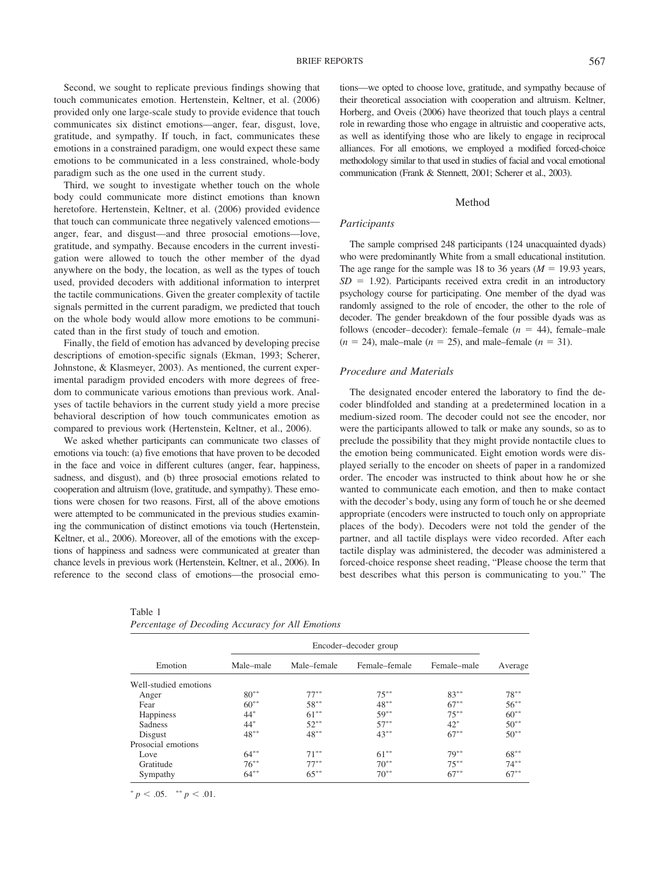Second, we sought to replicate previous findings showing that touch communicates emotion. Hertenstein, Keltner, et al. (2006) provided only one large-scale study to provide evidence that touch communicates six distinct emotions—anger, fear, disgust, love, gratitude, and sympathy. If touch, in fact, communicates these emotions in a constrained paradigm, one would expect these same emotions to be communicated in a less constrained, whole-body paradigm such as the one used in the current study.

Third, we sought to investigate whether touch on the whole body could communicate more distinct emotions than known heretofore. Hertenstein, Keltner, et al. (2006) provided evidence that touch can communicate three negatively valenced emotions anger, fear, and disgust—and three prosocial emotions—love, gratitude, and sympathy. Because encoders in the current investigation were allowed to touch the other member of the dyad anywhere on the body, the location, as well as the types of touch used, provided decoders with additional information to interpret the tactile communications. Given the greater complexity of tactile signals permitted in the current paradigm, we predicted that touch on the whole body would allow more emotions to be communicated than in the first study of touch and emotion.

Finally, the field of emotion has advanced by developing precise descriptions of emotion-specific signals (Ekman, 1993; Scherer, Johnstone, & Klasmeyer, 2003). As mentioned, the current experimental paradigm provided encoders with more degrees of freedom to communicate various emotions than previous work. Analyses of tactile behaviors in the current study yield a more precise behavioral description of how touch communicates emotion as compared to previous work (Hertenstein, Keltner, et al., 2006).

We asked whether participants can communicate two classes of emotions via touch: (a) five emotions that have proven to be decoded in the face and voice in different cultures (anger, fear, happiness, sadness, and disgust), and (b) three prosocial emotions related to cooperation and altruism (love, gratitude, and sympathy). These emotions were chosen for two reasons. First, all of the above emotions were attempted to be communicated in the previous studies examining the communication of distinct emotions via touch (Hertenstein, Keltner, et al., 2006). Moreover, all of the emotions with the exceptions of happiness and sadness were communicated at greater than chance levels in previous work (Hertenstein, Keltner, et al., 2006). In reference to the second class of emotions—the prosocial emo-

Table 1 *Percentage of Decoding Accuracy for All Emotions*

| tions—we opted to choose love, gratitude, and sympathy because of         |
|---------------------------------------------------------------------------|
| their theoretical association with cooperation and altruism. Keltner,     |
| Horberg, and Oveis (2006) have theorized that touch plays a central       |
| role in rewarding those who engage in altruistic and cooperative acts,    |
| as well as identifying those who are likely to engage in reciprocal       |
| alliances. For all emotions, we employed a modified forced-choice         |
| methodology similar to that used in studies of facial and vocal emotional |
| communication (Frank & Stennett, 2001; Scherer et al., 2003).             |
|                                                                           |

# Method

#### *Participants*

The sample comprised 248 participants (124 unacquainted dyads) who were predominantly White from a small educational institution. The age range for the sample was 18 to 36 years  $(M = 19.93$  years,  $SD = 1.92$ ). Participants received extra credit in an introductory psychology course for participating. One member of the dyad was randomly assigned to the role of encoder, the other to the role of decoder. The gender breakdown of the four possible dyads was as follows (encoder–decoder): female–female  $(n = 44)$ , female–male  $(n = 24)$ , male–male  $(n = 25)$ , and male–female  $(n = 31)$ .

# *Procedure and Materials*

The designated encoder entered the laboratory to find the decoder blindfolded and standing at a predetermined location in a medium-sized room. The decoder could not see the encoder, nor were the participants allowed to talk or make any sounds, so as to preclude the possibility that they might provide nontactile clues to the emotion being communicated. Eight emotion words were displayed serially to the encoder on sheets of paper in a randomized order. The encoder was instructed to think about how he or she wanted to communicate each emotion, and then to make contact with the decoder's body, using any form of touch he or she deemed appropriate (encoders were instructed to touch only on appropriate places of the body). Decoders were not told the gender of the partner, and all tactile displays were video recorded. After each tactile display was administered, the decoder was administered a forced-choice response sheet reading, "Please choose the term that best describes what this person is communicating to you." The

| Emotion               | Male–male | Male–female | Female–female | Female–male | Average   |
|-----------------------|-----------|-------------|---------------|-------------|-----------|
| Well-studied emotions |           |             |               |             |           |
| Anger                 | $80**$    | $77***$     | $75***$       | $83**$      | $78***$   |
| Fear                  | $60^{**}$ | $58***$     | $48***$       | $67***$     | $56^{**}$ |
| <b>Happiness</b>      | $44*$     | $61***$     | $59**$        | $75***$     | $60^{**}$ |
| <b>Sadness</b>        | 44*       | $52**$      | $57**$        | $42*$       | $50^{**}$ |
| Disgust               | $48***$   | $48**$      | $43**$        | $67***$     | $50^{**}$ |
| Prosocial emotions    |           |             |               |             |           |
| Love                  | $64***$   | $71***$     | $61***$       | $79***$     | $68***$   |
| Gratitude             | $76^{**}$ | $77***$     | $70^{**}$     | $75***$     | $74***$   |
| Sympathy              | $64***$   | $65***$     | $70^{**}$     | $67***$     | $67***$   |

 $p < .05.$  \*\*  $p < .01.$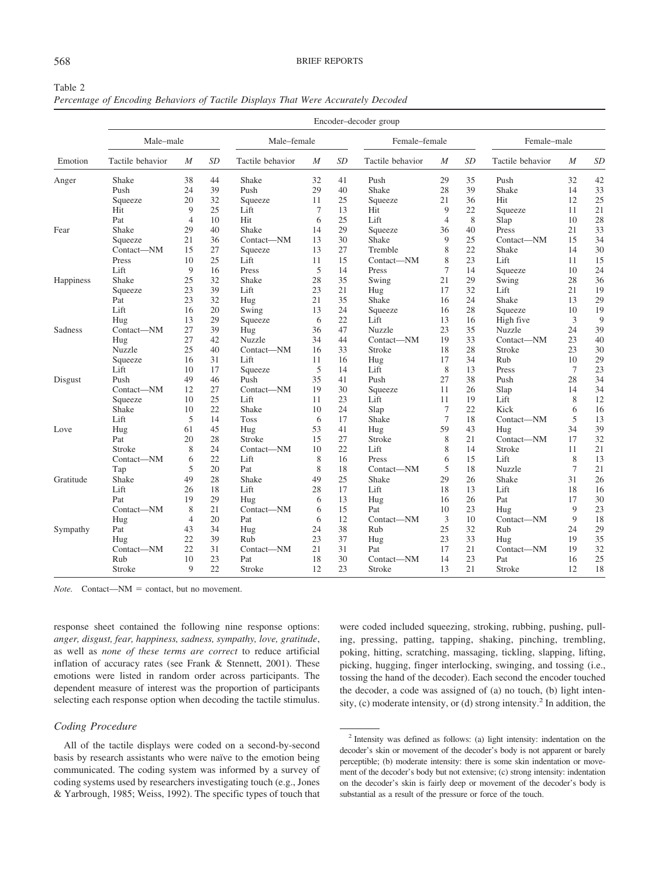| Table 2                                                                           |  |  |  |  |
|-----------------------------------------------------------------------------------|--|--|--|--|
| Percentage of Encoding Behaviors of Tactile Displays That Were Accurately Decoded |  |  |  |  |

|           |                  |                |    |                  |             |    | Encoder-decoder group |                |    |                  |                 |    |  |
|-----------|------------------|----------------|----|------------------|-------------|----|-----------------------|----------------|----|------------------|-----------------|----|--|
|           |                  | Male-male      |    |                  | Male-female |    |                       | Female-female  |    |                  | Female-male     |    |  |
| Emotion   | Tactile behavior | M              | SD | Tactile behavior | M           | SD | Tactile behavior      | M              | SD | Tactile behavior | M               | SD |  |
| Anger     | Shake            | 38             | 44 | Shake            | 32          | 41 | Push                  | 29             | 35 | Push             | 32              | 42 |  |
|           | Push             | 24             | 39 | Push             | 29          | 40 | Shake                 | 28             | 39 | Shake            | 14              | 33 |  |
|           | Squeeze          | 20             | 32 | Squeeze          | 11          | 25 | Squeeze               | 21             | 36 | Hit              | 12              | 25 |  |
|           | Hit              | 9              | 25 | Lift             | 7           | 13 | Hit                   | 9              | 22 | Squeeze          | 11              | 21 |  |
|           | Pat              | $\overline{4}$ | 10 | Hit              | 6           | 25 | Lift                  | $\overline{4}$ | 8  | Slap             | 10              | 28 |  |
| Fear      | Shake            | 29             | 40 | Shake            | 14          | 29 | Squeeze               | 36             | 40 | Press            | 21              | 33 |  |
|           | Squeeze          | 21             | 36 | Contact-NM       | 13          | 30 | Shake                 | 9              | 25 | Contact-NM       | 15              | 34 |  |
|           | Contact-NM       | 15             | 27 | Squeeze          | 13          | 27 | Tremble               | 8              | 22 | Shake            | 14              | 30 |  |
|           | Press            | 10             | 25 | Lift             | 11          | 15 | Contact-NM            | 8              | 23 | Lift             | 11              | 15 |  |
|           | Lift             | 9              | 16 | Press            | 5           | 14 | Press                 | 7              | 14 | Squeeze          | 10              | 24 |  |
| Happiness | Shake            | 25             | 32 | Shake            | 28          | 35 | Swing                 | 21             | 29 | Swing            | 28              | 36 |  |
|           | Squeeze          | 23             | 39 | Lift             | 23          | 21 | Hug                   | 17             | 32 | Lift             | 21              | 19 |  |
|           | Pat              | 23             | 32 | Hug              | 21          | 35 | Shake                 | 16             | 24 | Shake            | 13              | 29 |  |
|           | Lift             | 16             | 20 | Swing            | 13          | 24 | Squeeze               | 16             | 28 | Squeeze          | 10              | 19 |  |
|           | Hug              | 13             | 29 | Squeeze          | 6           | 22 | Lift                  | 13             | 16 | High five        | 3               | 9  |  |
| Sadness   | Contact-NM       | 27             | 39 | Hug              | 36          | 47 | Nuzzle                | 23             | 35 | Nuzzle           | 24              | 39 |  |
|           | Hug              | 27             | 42 | Nuzzle           | 34          | 44 | Contact-NM            | 19             | 33 | Contact-NM       | 23              | 40 |  |
|           | Nuzzle           | 25             | 40 | Contact-NM       | 16          | 33 | <b>Stroke</b>         | 18             | 28 | Stroke           | 23              | 30 |  |
|           | Squeeze          | 16             | 31 | Lift             | 11          | 16 | Hug                   | 17             | 34 | Rub              | 10              | 29 |  |
|           | Lift             | 10             | 17 | Squeeze          | 5           | 14 | Lift                  | 8              | 13 | Press            | $7\phantom{.0}$ | 23 |  |
| Disgust   | Push             | 49             | 46 | Push             | 35          | 41 | Push                  | 27             | 38 | Push             | 28              | 34 |  |
|           | Contact-NM       | 12             | 27 | Contact-NM       | 19          | 30 | Squeeze               | 11             | 26 | Slap             | 14              | 34 |  |
|           | Squeeze          | 10             | 25 | Lift             | 11          | 23 | Lift                  | 11             | 19 | Lift             | 8               | 12 |  |
|           | Shake            | 10             | 22 | Shake            | 10          | 24 | Slap                  | $\tau$         | 22 | Kick             | 6               | 16 |  |
|           | Lift             | 5              | 14 | <b>Toss</b>      | 6           | 17 | Shake                 | 7              | 18 | Contact-NM       | 5               | 13 |  |
| Love      | Hug              | 61             | 45 | Hug              | 53          | 41 | Hug                   | 59             | 43 | Hug              | 34              | 39 |  |
|           | Pat              | 20             | 28 | Stroke           | 15          | 27 | Stroke                | 8              | 21 | Contact-NM       | 17              | 32 |  |
|           | <b>Stroke</b>    | 8              | 24 | Contact-NM       | 10          | 22 | Lift                  | 8              | 14 | Stroke           | 11              | 21 |  |
|           | Contact-NM       | 6              | 22 | Lift             | 8           | 16 | Press                 | 6              | 15 | Lift             | 8               | 13 |  |
|           | Tap              | 5              | 20 | Pat              | 8           | 18 | Contact-NM            | 5              | 18 | Nuzzle           | $\tau$          | 21 |  |
| Gratitude | Shake            | 49             | 28 | Shake            | 49          | 25 | Shake                 | 29             | 26 | Shake            | 31              | 26 |  |
|           | Lift             | 26             | 18 | Lift             | 28          | 17 | Lift                  | 18             | 13 | Lift             | 18              | 16 |  |
|           | Pat              | 19             | 29 | Hug              | 6           | 13 | Hug                   | 16             | 26 | Pat              | 17              | 30 |  |
|           | Contact-NM       | 8              | 21 | Contact-NM       | 6           | 15 | Pat                   | 10             | 23 | Hug              | 9               | 23 |  |
|           | Hug              | $\overline{4}$ | 20 | Pat              | 6           | 12 | Contact-NM            | 3              | 10 | Contact-NM       | 9               | 18 |  |
| Sympathy  | Pat              | 43             | 34 | Hug              | 24          | 38 | Rub                   | 25             | 32 | Rub              | 24              | 29 |  |
|           | Hug              | 22             | 39 | Rub              | 23          | 37 | Hug                   | 23             | 33 | Hug              | 19              | 35 |  |
|           | Contact-NM       | 22             | 31 | Contact-NM       | 21          | 31 | Pat                   | 17             | 21 | Contact-NM       | 19              | 32 |  |
|           | Rub              | 10             | 23 | Pat              | 18          | 30 | Contact-NM            | 14             | 23 | Pat              | 16              | 25 |  |
|           | <b>Stroke</b>    | 9              | 22 | Stroke           | 12          | 23 | Stroke                | 13             | 21 | Stroke           | 12              | 18 |  |
|           |                  |                |    |                  |             |    |                       |                |    |                  |                 |    |  |

*Note.* Contact— $NM =$  contact, but no movement.

response sheet contained the following nine response options: *anger, disgust, fear, happiness, sadness, sympathy, love, gratitude*, as well as *none of these terms are correct* to reduce artificial inflation of accuracy rates (see Frank & Stennett, 2001). These emotions were listed in random order across participants. The dependent measure of interest was the proportion of participants selecting each response option when decoding the tactile stimulus.

# *Coding Procedure*

All of the tactile displays were coded on a second-by-second basis by research assistants who were naïve to the emotion being communicated. The coding system was informed by a survey of coding systems used by researchers investigating touch (e.g., Jones & Yarbrough, 1985; Weiss, 1992). The specific types of touch that were coded included squeezing, stroking, rubbing, pushing, pulling, pressing, patting, tapping, shaking, pinching, trembling, poking, hitting, scratching, massaging, tickling, slapping, lifting, picking, hugging, finger interlocking, swinging, and tossing (i.e., tossing the hand of the decoder). Each second the encoder touched the decoder, a code was assigned of (a) no touch, (b) light intensity,  $(c)$  moderate intensity, or  $(d)$  strong intensity.<sup>2</sup> In addition, the

<sup>2</sup> Intensity was defined as follows: (a) light intensity: indentation on the decoder's skin or movement of the decoder's body is not apparent or barely perceptible; (b) moderate intensity: there is some skin indentation or movement of the decoder's body but not extensive; (c) strong intensity: indentation on the decoder's skin is fairly deep or movement of the decoder's body is substantial as a result of the pressure or force of the touch.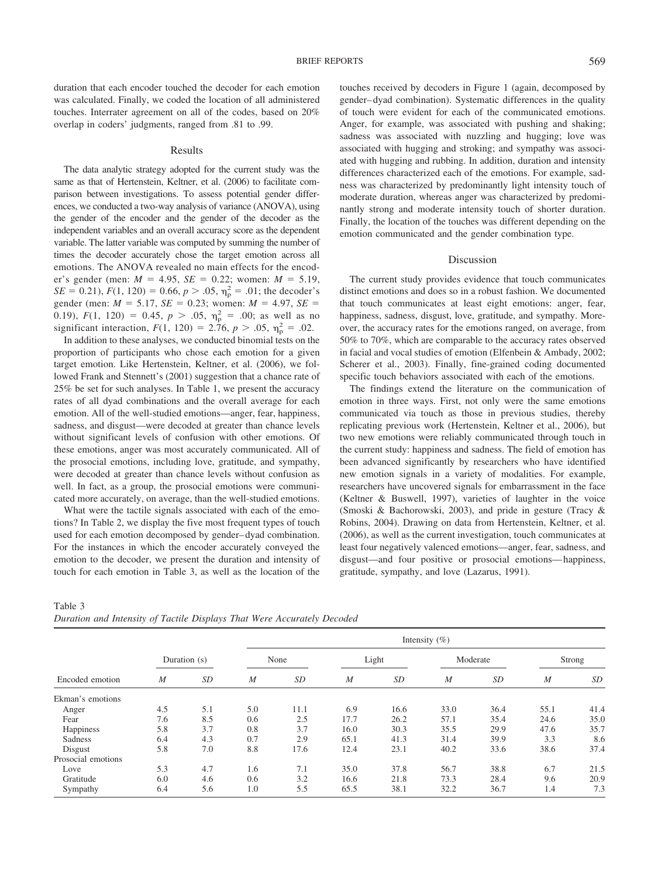duration that each encoder touched the decoder for each emotion was calculated. Finally, we coded the location of all administered touches. Interrater agreement on all of the codes, based on 20% overlap in coders' judgments, ranged from .81 to .99.

### Results

The data analytic strategy adopted for the current study was the same as that of Hertenstein, Keltner, et al. (2006) to facilitate comparison between investigations. To assess potential gender differences, we conducted a two-way analysis of variance (ANOVA), using the gender of the encoder and the gender of the decoder as the independent variables and an overall accuracy score as the dependent variable. The latter variable was computed by summing the number of times the decoder accurately chose the target emotion across all emotions. The ANOVA revealed no main effects for the encoder's gender (men:  $M = 4.95$ ,  $SE = 0.22$ ; women:  $M = 5.19$ ,  $SE = 0.21$ ,  $F(1, 120) = 0.66$ ,  $p > .05$ ,  $\eta_p^2 = .01$ ; the decoder's gender (men:  $M = 5.17$ ,  $SE = 0.23$ ; women:  $M = 4.97$ ,  $SE =$ 0.19),  $F(1, 120) = 0.45$ ,  $p > .05$ ,  $\eta_p^2 = .00$ ; as well as no significant interaction,  $F(1, 120) = 2.76$ ,  $p > .05$ ,  $\eta_p^2 = .02$ .

In addition to these analyses, we conducted binomial tests on the proportion of participants who chose each emotion for a given target emotion. Like Hertenstein, Keltner, et al. (2006), we followed Frank and Stennett's (2001) suggestion that a chance rate of 25% be set for such analyses. In Table 1, we present the accuracy rates of all dyad combinations and the overall average for each emotion. All of the well-studied emotions—anger, fear, happiness, sadness, and disgust—were decoded at greater than chance levels without significant levels of confusion with other emotions. Of these emotions, anger was most accurately communicated. All of the prosocial emotions, including love, gratitude, and sympathy, were decoded at greater than chance levels without confusion as well. In fact, as a group, the prosocial emotions were communicated more accurately, on average, than the well-studied emotions.

What were the tactile signals associated with each of the emotions? In Table 2, we display the five most frequent types of touch used for each emotion decomposed by gender–dyad combination. For the instances in which the encoder accurately conveyed the emotion to the decoder, we present the duration and intensity of touch for each emotion in Table 3, as well as the location of the

| Table 3                                                                 |  |  |  |  |
|-------------------------------------------------------------------------|--|--|--|--|
| Duration and Intensity of Tactile Displays That Were Accurately Decoded |  |  |  |  |

touches received by decoders in Figure 1 (again, decomposed by gender–dyad combination). Systematic differences in the quality of touch were evident for each of the communicated emotions. Anger, for example, was associated with pushing and shaking; sadness was associated with nuzzling and hugging; love was associated with hugging and stroking; and sympathy was associated with hugging and rubbing. In addition, duration and intensity differences characterized each of the emotions. For example, sadness was characterized by predominantly light intensity touch of moderate duration, whereas anger was characterized by predominantly strong and moderate intensity touch of shorter duration. Finally, the location of the touches was different depending on the emotion communicated and the gender combination type.

#### Discussion

The current study provides evidence that touch communicates distinct emotions and does so in a robust fashion. We documented that touch communicates at least eight emotions: anger, fear, happiness, sadness, disgust, love, gratitude, and sympathy. Moreover, the accuracy rates for the emotions ranged, on average, from 50% to 70%, which are comparable to the accuracy rates observed in facial and vocal studies of emotion (Elfenbein & Ambady, 2002; Scherer et al., 2003). Finally, fine-grained coding documented specific touch behaviors associated with each of the emotions.

The findings extend the literature on the communication of emotion in three ways. First, not only were the same emotions communicated via touch as those in previous studies, thereby replicating previous work (Hertenstein, Keltner et al., 2006), but two new emotions were reliably communicated through touch in the current study: happiness and sadness. The field of emotion has been advanced significantly by researchers who have identified new emotion signals in a variety of modalities. For example, researchers have uncovered signals for embarrassment in the face (Keltner & Buswell, 1997), varieties of laughter in the voice (Smoski & Bachorowski, 2003), and pride in gesture (Tracy & Robins, 2004). Drawing on data from Hertenstein, Keltner, et al. (2006), as well as the current investigation, touch communicates at least four negatively valenced emotions—anger, fear, sadness, and disgust—and four positive or prosocial emotions—happiness, gratitude, sympathy, and love (Lazarus, 1991).

| Encoded emotion    |                  |           |                | Intensity $(\% )$ |                  |       |                  |          |                  |        |  |  |
|--------------------|------------------|-----------|----------------|-------------------|------------------|-------|------------------|----------|------------------|--------|--|--|
|                    | Duration $(s)$   |           |                | None              |                  | Light |                  | Moderate |                  | Strong |  |  |
|                    | $\boldsymbol{M}$ | <b>SD</b> | $\overline{M}$ | SD                | $\boldsymbol{M}$ | SD    | $\boldsymbol{M}$ | SD       | $\boldsymbol{M}$ | SD     |  |  |
| Ekman's emotions   |                  |           |                |                   |                  |       |                  |          |                  |        |  |  |
| Anger              | 4.5              | 5.1       | 5.0            | 11.1              | 6.9              | 16.6  | 33.0             | 36.4     | 55.1             | 41.4   |  |  |
| Fear               | 7.6              | 8.5       | 0.6            | 2.5               | 17.7             | 26.2  | 57.1             | 35.4     | 24.6             | 35.0   |  |  |
| Happiness          | 5.8              | 3.7       | 0.8            | 3.7               | 16.0             | 30.3  | 35.5             | 29.9     | 47.6             | 35.7   |  |  |
| Sadness            | 6.4              | 4.3       | 0.7            | 2.9               | 65.1             | 41.3  | 31.4             | 39.9     | 3.3              | 8.6    |  |  |
| Disgust            | 5.8              | 7.0       | 8.8            | 17.6              | 12.4             | 23.1  | 40.2             | 33.6     | 38.6             | 37.4   |  |  |
| Prosocial emotions |                  |           |                |                   |                  |       |                  |          |                  |        |  |  |
| Love               | 5.3              | 4.7       | 1.6            | 7.1               | 35.0             | 37.8  | 56.7             | 38.8     | 6.7              | 21.5   |  |  |
| Gratitude          | 6.0              | 4.6       | 0.6            | 3.2               | 16.6             | 21.8  | 73.3             | 28.4     | 9.6              | 20.9   |  |  |
| Sympathy           | 6.4              | 5.6       | 1.0            | 5.5               | 65.5             | 38.1  | 32.2             | 36.7     | 1.4              | 7.3    |  |  |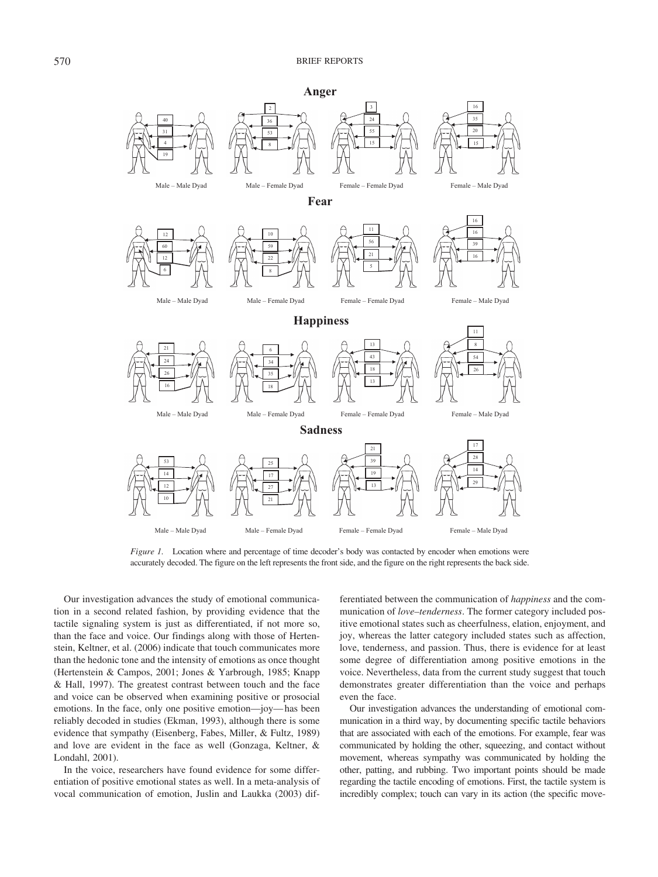

*Figure 1.* Location where and percentage of time decoder's body was contacted by encoder when emotions were accurately decoded. The figure on the left represents the front side, and the figure on the right represents the back side.

Our investigation advances the study of emotional communication in a second related fashion, by providing evidence that the tactile signaling system is just as differentiated, if not more so, than the face and voice. Our findings along with those of Hertenstein, Keltner, et al. (2006) indicate that touch communicates more than the hedonic tone and the intensity of emotions as once thought (Hertenstein & Campos, 2001; Jones & Yarbrough, 1985; Knapp & Hall, 1997). The greatest contrast between touch and the face and voice can be observed when examining positive or prosocial emotions. In the face, only one positive emotion—joy—has been reliably decoded in studies (Ekman, 1993), although there is some evidence that sympathy (Eisenberg, Fabes, Miller, & Fultz, 1989) and love are evident in the face as well (Gonzaga, Keltner, & Londahl, 2001).

In the voice, researchers have found evidence for some differentiation of positive emotional states as well. In a meta-analysis of vocal communication of emotion, Juslin and Laukka (2003) dif-

ferentiated between the communication of *happiness* and the communication of *love–tenderness*. The former category included positive emotional states such as cheerfulness, elation, enjoyment, and joy, whereas the latter category included states such as affection, love, tenderness, and passion. Thus, there is evidence for at least some degree of differentiation among positive emotions in the voice. Nevertheless, data from the current study suggest that touch demonstrates greater differentiation than the voice and perhaps even the face.

Our investigation advances the understanding of emotional communication in a third way, by documenting specific tactile behaviors that are associated with each of the emotions. For example, fear was communicated by holding the other, squeezing, and contact without movement, whereas sympathy was communicated by holding the other, patting, and rubbing. Two important points should be made regarding the tactile encoding of emotions. First, the tactile system is incredibly complex; touch can vary in its action (the specific move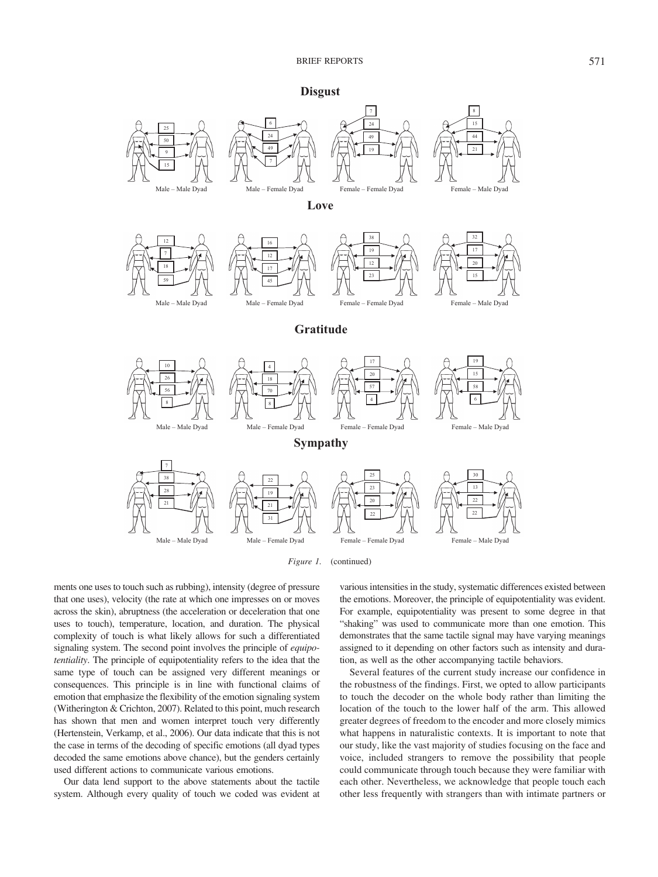**Disgust**



ments one uses to touch such as rubbing), intensity (degree of pressure that one uses), velocity (the rate at which one impresses on or moves across the skin), abruptness (the acceleration or deceleration that one uses to touch), temperature, location, and duration. The physical complexity of touch is what likely allows for such a differentiated signaling system. The second point involves the principle of *equipotentiality*. The principle of equipotentiality refers to the idea that the same type of touch can be assigned very different meanings or consequences. This principle is in line with functional claims of emotion that emphasize the flexibility of the emotion signaling system (Witherington & Crichton, 2007). Related to this point, much research has shown that men and women interpret touch very differently (Hertenstein, Verkamp, et al., 2006). Our data indicate that this is not the case in terms of the decoding of specific emotions (all dyad types decoded the same emotions above chance), but the genders certainly used different actions to communicate various emotions.

Our data lend support to the above statements about the tactile system. Although every quality of touch we coded was evident at various intensities in the study, systematic differences existed between the emotions. Moreover, the principle of equipotentiality was evident. For example, equipotentiality was present to some degree in that "shaking" was used to communicate more than one emotion. This demonstrates that the same tactile signal may have varying meanings assigned to it depending on other factors such as intensity and duration, as well as the other accompanying tactile behaviors.

Several features of the current study increase our confidence in the robustness of the findings. First, we opted to allow participants to touch the decoder on the whole body rather than limiting the location of the touch to the lower half of the arm. This allowed greater degrees of freedom to the encoder and more closely mimics what happens in naturalistic contexts. It is important to note that our study, like the vast majority of studies focusing on the face and voice, included strangers to remove the possibility that people could communicate through touch because they were familiar with each other. Nevertheless, we acknowledge that people touch each other less frequently with strangers than with intimate partners or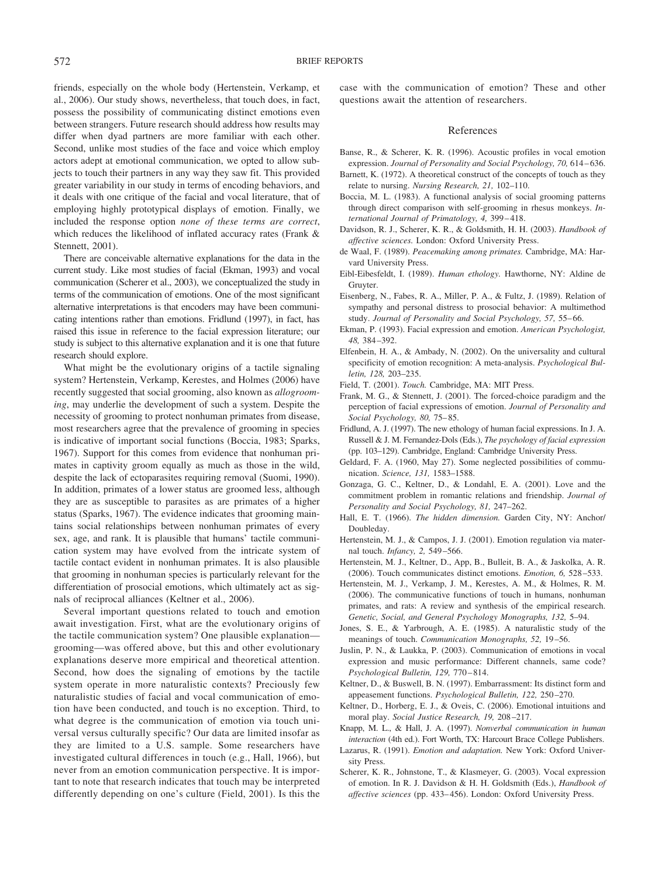friends, especially on the whole body (Hertenstein, Verkamp, et al., 2006). Our study shows, nevertheless, that touch does, in fact, possess the possibility of communicating distinct emotions even between strangers. Future research should address how results may differ when dyad partners are more familiar with each other. Second, unlike most studies of the face and voice which employ actors adept at emotional communication, we opted to allow subjects to touch their partners in any way they saw fit. This provided greater variability in our study in terms of encoding behaviors, and it deals with one critique of the facial and vocal literature, that of employing highly prototypical displays of emotion. Finally, we included the response option *none of these terms are correct*, which reduces the likelihood of inflated accuracy rates (Frank & Stennett, 2001).

There are conceivable alternative explanations for the data in the current study. Like most studies of facial (Ekman, 1993) and vocal communication (Scherer et al., 2003), we conceptualized the study in terms of the communication of emotions. One of the most significant alternative interpretations is that encoders may have been communicating intentions rather than emotions. Fridlund (1997), in fact, has raised this issue in reference to the facial expression literature; our study is subject to this alternative explanation and it is one that future research should explore.

What might be the evolutionary origins of a tactile signaling system? Hertenstein, Verkamp, Kerestes, and Holmes (2006) have recently suggested that social grooming, also known as *allogrooming*, may underlie the development of such a system. Despite the necessity of grooming to protect nonhuman primates from disease, most researchers agree that the prevalence of grooming in species is indicative of important social functions (Boccia, 1983; Sparks, 1967). Support for this comes from evidence that nonhuman primates in captivity groom equally as much as those in the wild, despite the lack of ectoparasites requiring removal (Suomi, 1990). In addition, primates of a lower status are groomed less, although they are as susceptible to parasites as are primates of a higher status (Sparks, 1967). The evidence indicates that grooming maintains social relationships between nonhuman primates of every sex, age, and rank. It is plausible that humans' tactile communication system may have evolved from the intricate system of tactile contact evident in nonhuman primates. It is also plausible that grooming in nonhuman species is particularly relevant for the differentiation of prosocial emotions, which ultimately act as signals of reciprocal alliances (Keltner et al., 2006).

Several important questions related to touch and emotion await investigation. First, what are the evolutionary origins of the tactile communication system? One plausible explanation grooming—was offered above, but this and other evolutionary explanations deserve more empirical and theoretical attention. Second, how does the signaling of emotions by the tactile system operate in more naturalistic contexts? Preciously few naturalistic studies of facial and vocal communication of emotion have been conducted, and touch is no exception. Third, to what degree is the communication of emotion via touch universal versus culturally specific? Our data are limited insofar as they are limited to a U.S. sample. Some researchers have investigated cultural differences in touch (e.g., Hall, 1966), but never from an emotion communication perspective. It is important to note that research indicates that touch may be interpreted differently depending on one's culture (Field, 2001). Is this the case with the communication of emotion? These and other questions await the attention of researchers.

#### References

- Banse, R., & Scherer, K. R. (1996). Acoustic profiles in vocal emotion expression. *Journal of Personality and Social Psychology, 70,* 614–636.
- Barnett, K. (1972). A theoretical construct of the concepts of touch as they relate to nursing. *Nursing Research, 21,* 102–110.
- Boccia, M. L. (1983). A functional analysis of social grooming patterns through direct comparison with self-grooming in rhesus monkeys. *International Journal of Primatology, 4,* 399–418.
- Davidson, R. J., Scherer, K. R., & Goldsmith, H. H. (2003). *Handbook of affective sciences.* London: Oxford University Press.
- de Waal, F. (1989). *Peacemaking among primates.* Cambridge, MA: Harvard University Press.
- Eibl-Eibesfeldt, I. (1989). *Human ethology.* Hawthorne, NY: Aldine de Gruyter.
- Eisenberg, N., Fabes, R. A., Miller, P. A., & Fultz, J. (1989). Relation of sympathy and personal distress to prosocial behavior: A multimethod study. *Journal of Personality and Social Psychology, 57,* 55–66.
- Ekman, P. (1993). Facial expression and emotion. *American Psychologist, 48,* 384–392.
- Elfenbein, H. A., & Ambady, N. (2002). On the universality and cultural specificity of emotion recognition: A meta-analysis. *Psychological Bulletin, 128,* 203–235.
- Field, T. (2001). *Touch.* Cambridge, MA: MIT Press.
- Frank, M. G., & Stennett, J. (2001). The forced-choice paradigm and the perception of facial expressions of emotion. *Journal of Personality and Social Psychology, 80,* 75–85.
- Fridlund, A. J. (1997). The new ethology of human facial expressions. In J. A. Russell & J. M. Fernandez-Dols (Eds.), *The psychology of facial expression* (pp. 103–129). Cambridge, England: Cambridge University Press.
- Geldard, F. A. (1960, May 27). Some neglected possibilities of communication. *Science, 131,* 1583–1588.
- Gonzaga, G. C., Keltner, D., & Londahl, E. A. (2001). Love and the commitment problem in romantic relations and friendship. *Journal of Personality and Social Psychology, 81,* 247–262.
- Hall, E. T. (1966). *The hidden dimension.* Garden City, NY: Anchor/ Doubleday.
- Hertenstein, M. J., & Campos, J. J. (2001). Emotion regulation via maternal touch. *Infancy, 2,* 549–566.
- Hertenstein, M. J., Keltner, D., App, B., Bulleit, B. A., & Jaskolka, A. R. (2006). Touch communicates distinct emotions. *Emotion, 6,* 528–533.
- Hertenstein, M. J., Verkamp, J. M., Kerestes, A. M., & Holmes, R. M. (2006). The communicative functions of touch in humans, nonhuman primates, and rats: A review and synthesis of the empirical research. *Genetic, Social, and General Psychology Monographs, 132,* 5–94.
- Jones, S. E., & Yarbrough, A. E. (1985). A naturalistic study of the meanings of touch. *Communication Monographs, 52,* 19–56.
- Juslin, P. N., & Laukka, P. (2003). Communication of emotions in vocal expression and music performance: Different channels, same code? *Psychological Bulletin, 129,* 770–814.
- Keltner, D., & Buswell, B. N. (1997). Embarrassment: Its distinct form and appeasement functions. *Psychological Bulletin, 122,* 250–270.
- Keltner, D., Horberg, E. J., & Oveis, C. (2006). Emotional intuitions and moral play. *Social Justice Research, 19,* 208–217.
- Knapp, M. L., & Hall, J. A. (1997). *Nonverbal communication in human interaction* (4th ed.). Fort Worth, TX: Harcourt Brace College Publishers.
- Lazarus, R. (1991). *Emotion and adaptation.* New York: Oxford University Press.
- Scherer, K. R., Johnstone, T., & Klasmeyer, G. (2003). Vocal expression of emotion. In R. J. Davidson & H. H. Goldsmith (Eds.), *Handbook of affective sciences* (pp. 433–456). London: Oxford University Press.